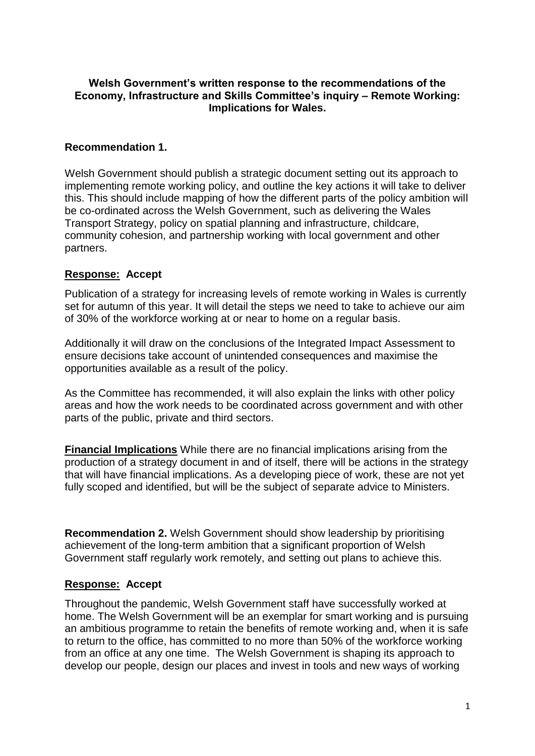### **Welsh Government's written response to the recommendations of the Economy, Infrastructure and Skills Committee's inquiry – Remote Working: Implications for Wales.**

### **Recommendation 1.**

Welsh Government should publish a strategic document setting out its approach to implementing remote working policy, and outline the key actions it will take to deliver this. This should include mapping of how the different parts of the policy ambition will be co-ordinated across the Welsh Government, such as delivering the Wales Transport Strategy, policy on spatial planning and infrastructure, childcare, community cohesion, and partnership working with local government and other partners.

# **Response: Accept**

Publication of a strategy for increasing levels of remote working in Wales is currently set for autumn of this year. It will detail the steps we need to take to achieve our aim of 30% of the workforce working at or near to home on a regular basis.

Additionally it will draw on the conclusions of the Integrated Impact Assessment to ensure decisions take account of unintended consequences and maximise the opportunities available as a result of the policy.

As the Committee has recommended, it will also explain the links with other policy areas and how the work needs to be coordinated across government and with other parts of the public, private and third sectors.

**Financial Implications** While there are no financial implications arising from the production of a strategy document in and of itself, there will be actions in the strategy that will have financial implications. As a developing piece of work, these are not yet fully scoped and identified, but will be the subject of separate advice to Ministers.

**Recommendation 2.** Welsh Government should show leadership by prioritising achievement of the long-term ambition that a significant proportion of Welsh Government staff regularly work remotely, and setting out plans to achieve this.

### **Response: Accept**

Throughout the pandemic, Welsh Government staff have successfully worked at home. The Welsh Government will be an exemplar for smart working and is pursuing an ambitious programme to retain the benefits of remote working and, when it is safe to return to the office, has committed to no more than 50% of the workforce working from an office at any one time. The Welsh Government is shaping its approach to develop our people, design our places and invest in tools and new ways of working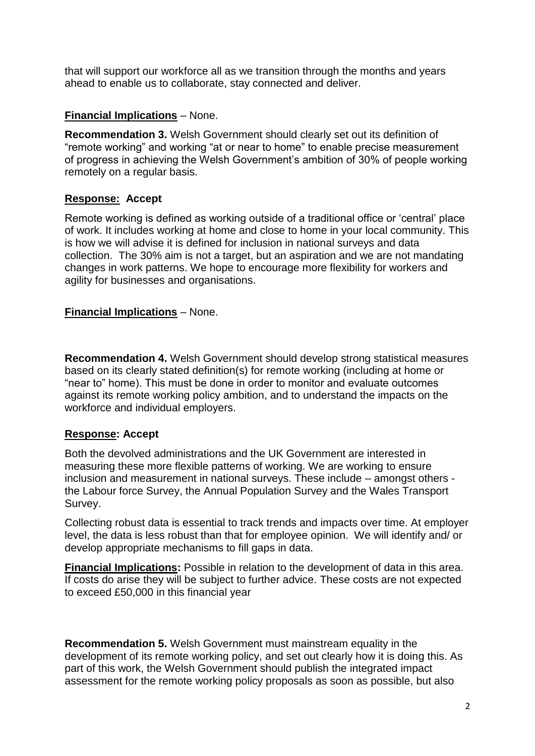that will support our workforce all as we transition through the months and years ahead to enable us to collaborate, stay connected and deliver.

### **Financial Implications** – None.

**Recommendation 3.** Welsh Government should clearly set out its definition of "remote working" and working "at or near to home" to enable precise measurement of progress in achieving the Welsh Government's ambition of 30% of people working remotely on a regular basis.

# **Response: Accept**

Remote working is defined as working outside of a traditional office or 'central' place of work. It includes working at home and close to home in your local community. This is how we will advise it is defined for inclusion in national surveys and data collection. The 30% aim is not a target, but an aspiration and we are not mandating changes in work patterns. We hope to encourage more flexibility for workers and agility for businesses and organisations.

### **Financial Implications** – None.

**Recommendation 4.** Welsh Government should develop strong statistical measures based on its clearly stated definition(s) for remote working (including at home or "near to" home). This must be done in order to monitor and evaluate outcomes against its remote working policy ambition, and to understand the impacts on the workforce and individual employers.

### **Response: Accept**

Both the devolved administrations and the UK Government are interested in measuring these more flexible patterns of working. We are working to ensure inclusion and measurement in national surveys. These include – amongst others the Labour force Survey, the Annual Population Survey and the Wales Transport Survey.

Collecting robust data is essential to track trends and impacts over time. At employer level, the data is less robust than that for employee opinion. We will identify and/ or develop appropriate mechanisms to fill gaps in data.

**Financial Implications:** Possible in relation to the development of data in this area. If costs do arise they will be subject to further advice. These costs are not expected to exceed £50,000 in this financial year

**Recommendation 5.** Welsh Government must mainstream equality in the development of its remote working policy, and set out clearly how it is doing this. As part of this work, the Welsh Government should publish the integrated impact assessment for the remote working policy proposals as soon as possible, but also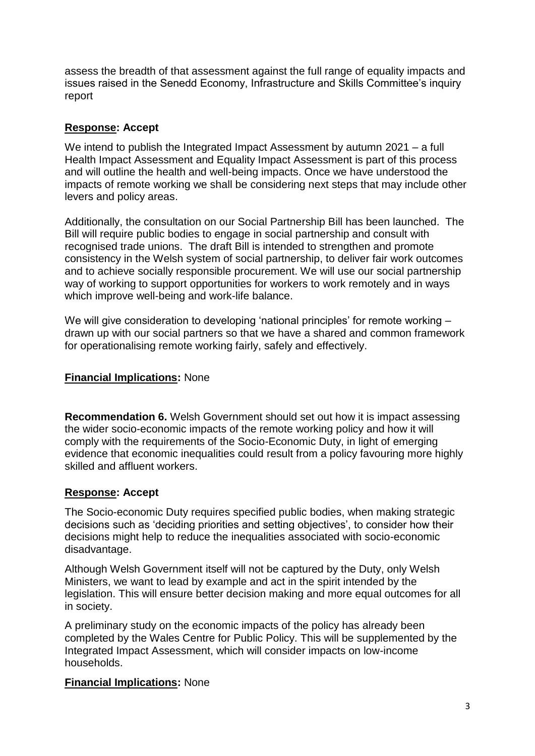assess the breadth of that assessment against the full range of equality impacts and issues raised in the Senedd Economy, Infrastructure and Skills Committee's inquiry report

### **Response: Accept**

We intend to publish the Integrated Impact Assessment by autumn 2021 – a full Health Impact Assessment and Equality Impact Assessment is part of this process and will outline the health and well-being impacts. Once we have understood the impacts of remote working we shall be considering next steps that may include other levers and policy areas.

Additionally, the consultation on our Social Partnership Bill has been launched. The Bill will require public bodies to engage in social partnership and consult with recognised trade unions. The draft Bill is intended to strengthen and promote consistency in the Welsh system of social partnership, to deliver fair work outcomes and to achieve socially responsible procurement. We will use our social partnership way of working to support opportunities for workers to work remotely and in ways which improve well-being and work-life balance.

We will give consideration to developing 'national principles' for remote working – drawn up with our social partners so that we have a shared and common framework for operationalising remote working fairly, safely and effectively.

### **Financial Implications:** None

**Recommendation 6.** Welsh Government should set out how it is impact assessing the wider socio-economic impacts of the remote working policy and how it will comply with the requirements of the Socio-Economic Duty, in light of emerging evidence that economic inequalities could result from a policy favouring more highly skilled and affluent workers.

# **Response: Accept**

The Socio-economic Duty requires specified public bodies, when making strategic decisions such as 'deciding priorities and setting objectives', to consider how their decisions might help to reduce the inequalities associated with socio-economic disadvantage.

Although Welsh Government itself will not be captured by the Duty, only Welsh Ministers, we want to lead by example and act in the spirit intended by the legislation. This will ensure better decision making and more equal outcomes for all in society.

A preliminary study on the economic impacts of the policy has already been completed by the Wales Centre for Public Policy. This will be supplemented by the Integrated Impact Assessment, which will consider impacts on low-income households.

### **Financial Implications:** None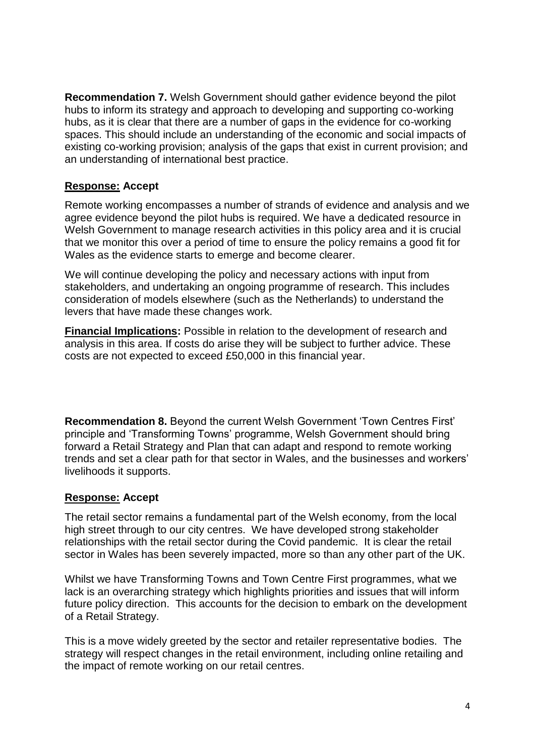**Recommendation 7.** Welsh Government should gather evidence beyond the pilot hubs to inform its strategy and approach to developing and supporting co-working hubs, as it is clear that there are a number of gaps in the evidence for co-working spaces. This should include an understanding of the economic and social impacts of existing co-working provision; analysis of the gaps that exist in current provision; and an understanding of international best practice.

### **Response: Accept**

Remote working encompasses a number of strands of evidence and analysis and we agree evidence beyond the pilot hubs is required. We have a dedicated resource in Welsh Government to manage research activities in this policy area and it is crucial that we monitor this over a period of time to ensure the policy remains a good fit for Wales as the evidence starts to emerge and become clearer.

We will continue developing the policy and necessary actions with input from stakeholders, and undertaking an ongoing programme of research. This includes consideration of models elsewhere (such as the Netherlands) to understand the levers that have made these changes work.

**Financial Implications:** Possible in relation to the development of research and analysis in this area. If costs do arise they will be subject to further advice. These costs are not expected to exceed £50,000 in this financial year.

**Recommendation 8.** Beyond the current Welsh Government 'Town Centres First' principle and 'Transforming Towns' programme, Welsh Government should bring forward a Retail Strategy and Plan that can adapt and respond to remote working trends and set a clear path for that sector in Wales, and the businesses and workers' livelihoods it supports.

### **Response: Accept**

The retail sector remains a fundamental part of the Welsh economy, from the local high street through to our city centres. We have developed strong stakeholder relationships with the retail sector during the Covid pandemic. It is clear the retail sector in Wales has been severely impacted, more so than any other part of the UK.

Whilst we have Transforming Towns and Town Centre First programmes, what we lack is an overarching strategy which highlights priorities and issues that will inform future policy direction. This accounts for the decision to embark on the development of a Retail Strategy.

This is a move widely greeted by the sector and retailer representative bodies. The strategy will respect changes in the retail environment, including online retailing and the impact of remote working on our retail centres.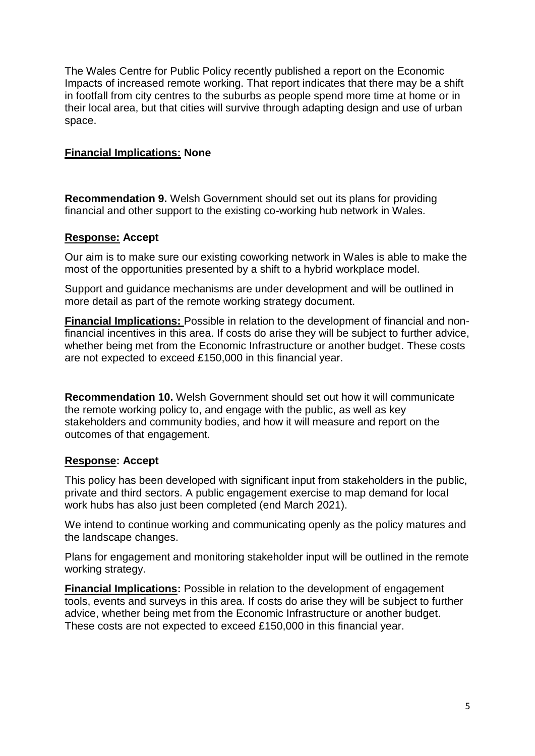The Wales Centre for Public Policy recently published a report on the Economic Impacts of increased remote working. That report indicates that there may be a shift in footfall from city centres to the suburbs as people spend more time at home or in their local area, but that cities will survive through adapting design and use of urban space.

### **Financial Implications: None**

**Recommendation 9.** Welsh Government should set out its plans for providing financial and other support to the existing co-working hub network in Wales.

### **Response: Accept**

Our aim is to make sure our existing coworking network in Wales is able to make the most of the opportunities presented by a shift to a hybrid workplace model.

Support and guidance mechanisms are under development and will be outlined in more detail as part of the remote working strategy document.

**Financial Implications:** Possible in relation to the development of financial and nonfinancial incentives in this area. If costs do arise they will be subject to further advice, whether being met from the Economic Infrastructure or another budget. These costs are not expected to exceed £150,000 in this financial year.

**Recommendation 10.** Welsh Government should set out how it will communicate the remote working policy to, and engage with the public, as well as key stakeholders and community bodies, and how it will measure and report on the outcomes of that engagement.

### **Response: Accept**

This policy has been developed with significant input from stakeholders in the public, private and third sectors. A public engagement exercise to map demand for local work hubs has also just been completed (end March 2021).

We intend to continue working and communicating openly as the policy matures and the landscape changes.

Plans for engagement and monitoring stakeholder input will be outlined in the remote working strategy.

**Financial Implications:** Possible in relation to the development of engagement tools, events and surveys in this area. If costs do arise they will be subject to further advice, whether being met from the Economic Infrastructure or another budget. These costs are not expected to exceed £150,000 in this financial year.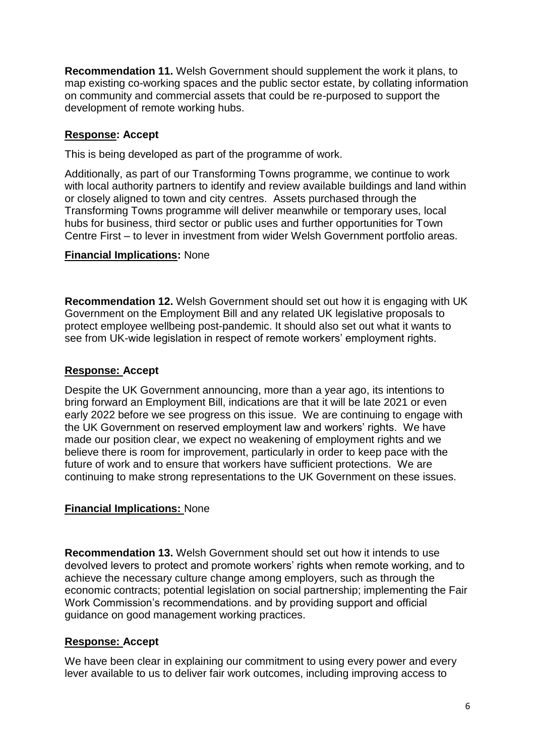**Recommendation 11.** Welsh Government should supplement the work it plans, to map existing co-working spaces and the public sector estate, by collating information on community and commercial assets that could be re-purposed to support the development of remote working hubs.

### **Response: Accept**

This is being developed as part of the programme of work.

Additionally, as part of our Transforming Towns programme, we continue to work with local authority partners to identify and review available buildings and land within or closely aligned to town and city centres. Assets purchased through the Transforming Towns programme will deliver meanwhile or temporary uses, local hubs for business, third sector or public uses and further opportunities for Town Centre First – to lever in investment from wider Welsh Government portfolio areas.

### **Financial Implications:** None

**Recommendation 12.** Welsh Government should set out how it is engaging with UK Government on the Employment Bill and any related UK legislative proposals to protect employee wellbeing post-pandemic. It should also set out what it wants to see from UK-wide legislation in respect of remote workers' employment rights.

### **Response: Accept**

Despite the UK Government announcing, more than a year ago, its intentions to bring forward an Employment Bill, indications are that it will be late 2021 or even early 2022 before we see progress on this issue. We are continuing to engage with the UK Government on reserved employment law and workers' rights. We have made our position clear, we expect no weakening of employment rights and we believe there is room for improvement, particularly in order to keep pace with the future of work and to ensure that workers have sufficient protections. We are continuing to make strong representations to the UK Government on these issues.

### **Financial Implications:** None

**Recommendation 13.** Welsh Government should set out how it intends to use devolved levers to protect and promote workers' rights when remote working, and to achieve the necessary culture change among employers, such as through the economic contracts; potential legislation on social partnership; implementing the Fair Work Commission's recommendations. and by providing support and official guidance on good management working practices.

# **Response: Accept**

We have been clear in explaining our commitment to using every power and every lever available to us to deliver fair work outcomes, including improving access to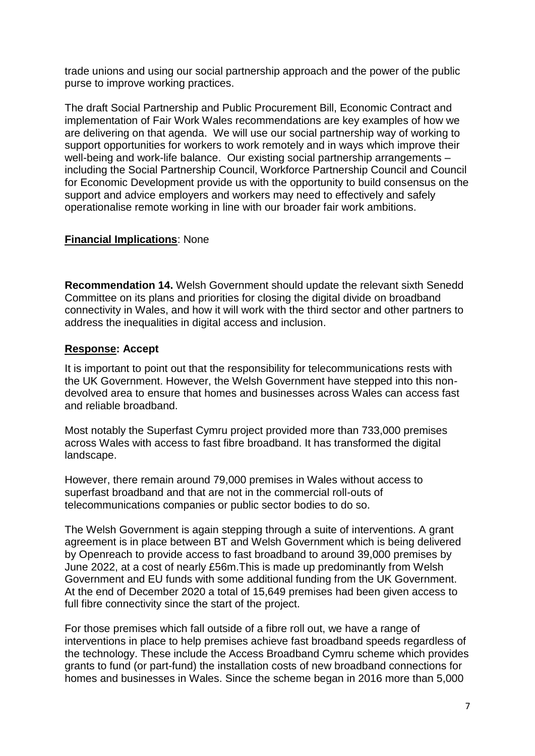trade unions and using our social partnership approach and the power of the public purse to improve working practices.

The draft Social Partnership and Public Procurement Bill, Economic Contract and implementation of Fair Work Wales recommendations are key examples of how we are delivering on that agenda. We will use our social partnership way of working to support opportunities for workers to work remotely and in ways which improve their well-being and work-life balance. Our existing social partnership arrangements – including the Social Partnership Council, Workforce Partnership Council and Council for Economic Development provide us with the opportunity to build consensus on the support and advice employers and workers may need to effectively and safely operationalise remote working in line with our broader fair work ambitions.

### **Financial Implications**: None

**Recommendation 14.** Welsh Government should update the relevant sixth Senedd Committee on its plans and priorities for closing the digital divide on broadband connectivity in Wales, and how it will work with the third sector and other partners to address the inequalities in digital access and inclusion.

### **Response: Accept**

It is important to point out that the responsibility for telecommunications rests with the UK Government. However, the Welsh Government have stepped into this nondevolved area to ensure that homes and businesses across Wales can access fast and reliable broadband.

Most notably the Superfast Cymru project provided more than 733,000 premises across Wales with access to fast fibre broadband. It has transformed the digital landscape.

However, there remain around 79,000 premises in Wales without access to superfast broadband and that are not in the commercial roll-outs of telecommunications companies or public sector bodies to do so.

The Welsh Government is again stepping through a suite of interventions. A grant agreement is in place between BT and Welsh Government which is being delivered by Openreach to provide access to fast broadband to around 39,000 premises by June 2022, at a cost of nearly £56m.This is made up predominantly from Welsh Government and EU funds with some additional funding from the UK Government. At the end of December 2020 a total of 15,649 premises had been given access to full fibre connectivity since the start of the project.

For those premises which fall outside of a fibre roll out, we have a range of interventions in place to help premises achieve fast broadband speeds regardless of the technology. These include the Access Broadband Cymru scheme which provides grants to fund (or part-fund) the installation costs of new broadband connections for homes and businesses in Wales. Since the scheme began in 2016 more than 5,000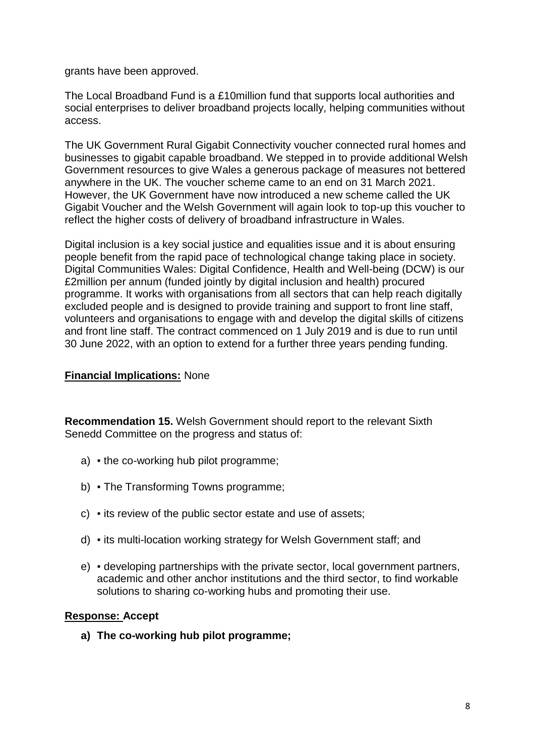grants have been approved.

The Local Broadband Fund is a £10million fund that supports local authorities and social enterprises to deliver broadband projects locally, helping communities without access.

The UK Government Rural Gigabit Connectivity voucher connected rural homes and businesses to gigabit capable broadband. We stepped in to provide additional Welsh Government resources to give Wales a generous package of measures not bettered anywhere in the UK. The voucher scheme came to an end on 31 March 2021. However, the UK Government have now introduced a new scheme called the UK Gigabit Voucher and the Welsh Government will again look to top-up this voucher to reflect the higher costs of delivery of broadband infrastructure in Wales.

Digital inclusion is a key social justice and equalities issue and it is about ensuring people benefit from the rapid pace of technological change taking place in society. Digital Communities Wales: Digital Confidence, Health and Well-being (DCW) is our £2million per annum (funded jointly by digital inclusion and health) procured programme. It works with organisations from all sectors that can help reach digitally excluded people and is designed to provide training and support to front line staff, volunteers and organisations to engage with and develop the digital skills of citizens and front line staff. The contract commenced on 1 July 2019 and is due to run until 30 June 2022, with an option to extend for a further three years pending funding.

### **Financial Implications:** None

**Recommendation 15.** Welsh Government should report to the relevant Sixth Senedd Committee on the progress and status of:

- a) the co-working hub pilot programme;
- b) The Transforming Towns programme;
- c) its review of the public sector estate and use of assets;
- d) its multi-location working strategy for Welsh Government staff; and
- e) developing partnerships with the private sector, local government partners, academic and other anchor institutions and the third sector, to find workable solutions to sharing co-working hubs and promoting their use.

# **Response: Accept**

**a) The co-working hub pilot programme;**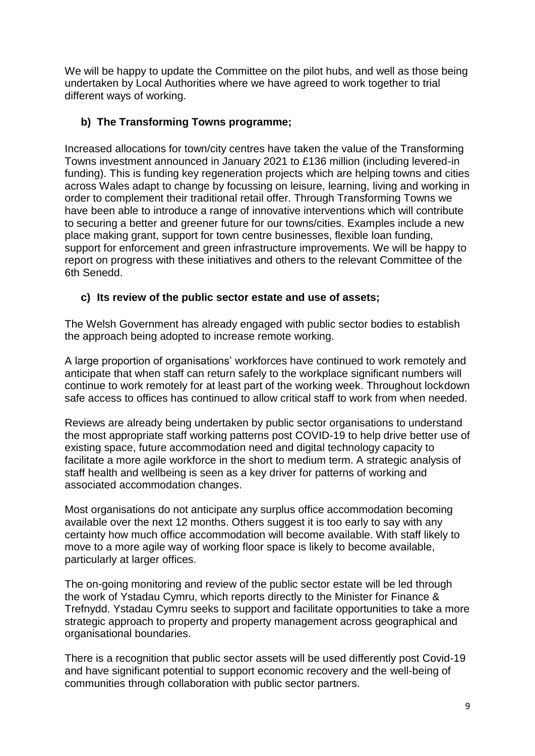We will be happy to update the Committee on the pilot hubs, and well as those being undertaken by Local Authorities where we have agreed to work together to trial different ways of working.

# **b) The Transforming Towns programme;**

Increased allocations for town/city centres have taken the value of the Transforming Towns investment announced in January 2021 to £136 million (including levered-in funding). This is funding key regeneration projects which are helping towns and cities across Wales adapt to change by focussing on leisure, learning, living and working in order to complement their traditional retail offer. Through Transforming Towns we have been able to introduce a range of innovative interventions which will contribute to securing a better and greener future for our towns/cities. Examples include a new place making grant, support for town centre businesses, flexible loan funding, support for enforcement and green infrastructure improvements. We will be happy to report on progress with these initiatives and others to the relevant Committee of the 6th Senedd.

# **c) Its review of the public sector estate and use of assets;**

The Welsh Government has already engaged with public sector bodies to establish the approach being adopted to increase remote working.

A large proportion of organisations' workforces have continued to work remotely and anticipate that when staff can return safely to the workplace significant numbers will continue to work remotely for at least part of the working week. Throughout lockdown safe access to offices has continued to allow critical staff to work from when needed.

Reviews are already being undertaken by public sector organisations to understand the most appropriate staff working patterns post COVID-19 to help drive better use of existing space, future accommodation need and digital technology capacity to facilitate a more agile workforce in the short to medium term. A strategic analysis of staff health and wellbeing is seen as a key driver for patterns of working and associated accommodation changes.

Most organisations do not anticipate any surplus office accommodation becoming available over the next 12 months. Others suggest it is too early to say with any certainty how much office accommodation will become available. With staff likely to move to a more agile way of working floor space is likely to become available, particularly at larger offices.

The on-going monitoring and review of the public sector estate will be led through the work of Ystadau Cymru, which reports directly to the Minister for Finance & Trefnydd. Ystadau Cymru seeks to support and facilitate opportunities to take a more strategic approach to property and property management across geographical and organisational boundaries.

There is a recognition that public sector assets will be used differently post Covid-19 and have significant potential to support economic recovery and the well-being of communities through collaboration with public sector partners.